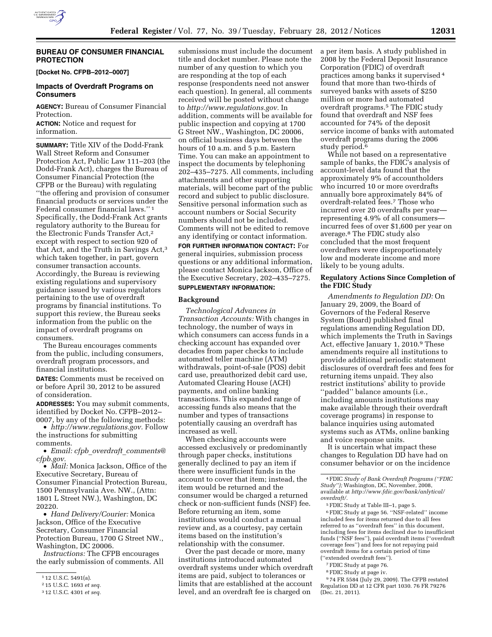

# **BUREAU OF CONSUMER FINANCIAL PROTECTION**

**[Docket No. CFPB–2012–0007]** 

#### **Impacts of Overdraft Programs on Consumers**

**AGENCY:** Bureau of Consumer Financial Protection.

**ACTION:** Notice and request for information.

**SUMMARY:** Title XIV of the Dodd-Frank Wall Street Reform and Consumer Protection Act, Public Law 111–203 (the Dodd-Frank Act), charges the Bureau of Consumer Financial Protection (the CFPB or the Bureau) with regulating ''the offering and provision of consumer financial products or services under the Federal consumer financial laws.'' 1 Specifically, the Dodd-Frank Act grants regulatory authority to the Bureau for the Electronic Funds Transfer Act,2 except with respect to section 920 of that Act, and the Truth in Savings Act,3 which taken together, in part, govern consumer transaction accounts. Accordingly, the Bureau is reviewing existing regulations and supervisory guidance issued by various regulators pertaining to the use of overdraft programs by financial institutions. To support this review, the Bureau seeks information from the public on the impact of overdraft programs on consumers.

The Bureau encourages comments from the public, including consumers, overdraft program processors, and financial institutions.

**DATES:** Comments must be received on or before April 30, 2012 to be assured of consideration.

**ADDRESSES:** You may submit comments, identified by Docket No. CFPB–2012– 0007, by any of the following methods:

• *[http://www.regulations.gov.](http://www.regulations.gov)* Follow the instructions for submitting comments.

• *Email: cfpb*\_*overdraft*\_*[comments@](mailto:cfpb_overdraft_comments@cfpb.gov) [cfpb.gov.](mailto:cfpb_overdraft_comments@cfpb.gov)* 

• *Mail:* Monica Jackson, Office of the Executive Secretary, Bureau of Consumer Financial Protection Bureau, 1500 Pennsylvania Ave. NW., (Attn: 1801 L Street NW.), Washington, DC 20220.

• *Hand Delivery/Courier:* Monica Jackson, Office of the Executive Secretary, Consumer Financial Protection Bureau, 1700 G Street NW., Washington, DC 20006.

*Instructions:* The CFPB encourages the early submission of comments. All

submissions must include the document title and docket number. Please note the number of any question to which you are responding at the top of each response (respondents need not answer each question). In general, all comments received will be posted without change to *[http://www.regulations.gov.](http://www.regulations.gov)* In addition, comments will be available for public inspection and copying at 1700 G Street NW., Washington, DC 20006, on official business days between the hours of 10 a.m. and 5 p.m. Eastern Time. You can make an appointment to inspect the documents by telephoning 202–435–7275. All comments, including attachments and other supporting materials, will become part of the public record and subject to public disclosure. Sensitive personal information such as account numbers or Social Security numbers should not be included. Comments will not be edited to remove any identifying or contact information.

**FOR FURTHER INFORMATION CONTACT:** For general inquiries, submission process questions or any additional information, please contact Monica Jackson, Office of the Executive Secretary, 202–435–7275.

#### **SUPPLEMENTARY INFORMATION:**

#### **Background**

*Technological Advances in Transaction Accounts:* With changes in technology, the number of ways in which consumers can access funds in a checking account has expanded over decades from paper checks to include automated teller machine (ATM) withdrawals, point-of-sale (POS) debit card use, preauthorized debit card use, Automated Clearing House (ACH) payments, and online banking transactions. This expanded range of accessing funds also means that the number and types of transactions potentially causing an overdraft has increased as well.

When checking accounts were accessed exclusively or predominantly through paper checks, institutions generally declined to pay an item if there were insufficient funds in the account to cover that item; instead, the item would be returned and the consumer would be charged a returned check or non-sufficient funds (NSF) fee. Before returning an item, some institutions would conduct a manual review and, as a courtesy, pay certain items based on the institution's relationship with the consumer.

Over the past decade or more, many institutions introduced automated overdraft systems under which overdraft items are paid, subject to tolerances or limits that are established at the account level, and an overdraft fee is charged on

a per item basis. A study published in 2008 by the Federal Deposit Insurance Corporation (FDIC) of overdraft practices among banks it supervised 4 found that more than two-thirds of surveyed banks with assets of \$250 million or more had automated overdraft programs.5 The FDIC study found that overdraft and NSF fees accounted for 74% of the deposit service income of banks with automated overdraft programs during the 2006 study period.<sup>6</sup>

While not based on a representative sample of banks, the FDIC's analysis of account-level data found that the approximately 9% of accountholders who incurred 10 or more overdrafts annually bore approximately 84% of overdraft-related fees.7 Those who incurred over 20 overdrafts per year representing 4.9% of all consumers incurred fees of over \$1,600 per year on average.8 The FDIC study also concluded that the most frequent overdrafters were disproportionately low and moderate income and more likely to be young adults.

# **Regulatory Actions Since Completion of the FDIC Study**

*Amendments to Regulation DD:* On January 29, 2009, the Board of Governors of the Federal Reserve System (Board) published final regulations amending Regulation DD, which implements the Truth in Savings Act, effective January 1, 2010.9 These amendments require all institutions to provide additional periodic statement disclosures of overdraft fees and fees for returning items unpaid. They also restrict institutions' ability to provide ''padded'' balance amounts (i.e., including amounts institutions may make available through their overdraft coverage programs) in response to balance inquiries using automated systems such as ATMs, online banking and voice response units.

It is uncertain what impact these changes to Regulation DD have had on consumer behavior or on the incidence

4FDIC *Study of Bank Overdraft Programs (''FDIC Study'');* Washington, DC, November, 2008, available at *[http://www.fdic.gov/bank/anlytical/](http://www.fdic.gov/bank/anlytical/overdraft/) [overdraft/.](http://www.fdic.gov/bank/anlytical/overdraft/)* 

5FDIC Study at Table III–1, page 5.

6FDIC Study at page 56. ''NSF-related'' income included fees for items returned due to all fees referred to as ''overdraft fees'' in this document, including fees for items declined due to insufficient funds (''NSF fees''), paid overdraft items (''overdraft coverage fees'') and fees for not repaying paid overdraft items for a certain period of tim (''extended overdraft fees'').

- 7FDIC Study at page 76.
- 8FDIC Study at page iv.

9 74 FR 5584 (July 29, 2009). The CFPB restated Regulation DD at 12 CFR part 1030. 76 FR 79276 (Dec. 21, 2011).

<sup>1</sup> 12 U.S.C. 5491(a).

<sup>2</sup> 15 U.S.C. 1693 *et seq.* 

<sup>3</sup> 12 U.S.C. 4301 *et seq.*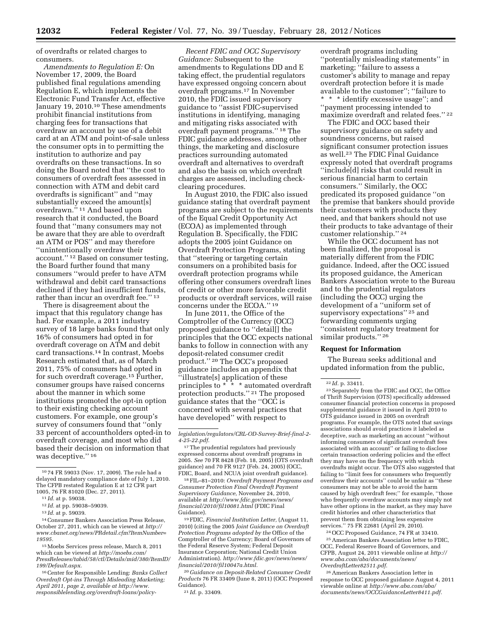of overdrafts or related charges to consumers.

*Amendments to Regulation E:* On November 17, 2009, the Board published final regulations amending Regulation E, which implements the Electronic Fund Transfer Act, effective January 19, 2010.<sup>10</sup> These amendments prohibit financial institutions from charging fees for transactions that overdraw an account by use of a debit card at an ATM and point-of-sale unless the consumer opts in to permitting the institution to authorize and pay overdrafts on these transactions. In so doing the Board noted that ''the cost to consumers of overdraft fees assessed in connection with ATM and debit card overdrafts is significant'' and ''may substantially exceed the amount[s] overdrawn.'' 11 And based upon research that it conducted, the Board found that ''many consumers may not be aware that they are able to overdraft an ATM or POS'' and may therefore ''unintentionally overdraw their account.'' 12 Based on consumer testing, the Board further found that many consumers ''would prefer to have ATM withdrawal and debit card transactions declined if they had insufficient funds, rather than incur an overdraft fee.'' 13

There is disagreement about the impact that this regulatory change has had. For example, a 2011 industry survey of 18 large banks found that only 16% of consumers had opted in for overdraft coverage on ATM and debit card transactions.14 In contrast, Moebs Research estimated that, as of March 2011, 75% of consumers had opted in for such overdraft coverage.15 Further, consumer groups have raised concerns about the manner in which some institutions promoted the opt-in option to their existing checking account customers. For example, one group's survey of consumers found that ''only 33 percent of accountholders opted-in to overdraft coverage, and most who did based their decision on information that was deceptive.'' 16

14Consumer Bankers Association Press Release, October 27, 2011, which can be viewed at *[http://](http://www.cbanet.org/news/PRdetail.cfm?ItemNumber=19595)  [www.cbanet.org/news/PRdetail.cfm?ItemNumber=](http://www.cbanet.org/news/PRdetail.cfm?ItemNumber=19595) [19595.](http://www.cbanet.org/news/PRdetail.cfm?ItemNumber=19595)* 

15Moebs Services press release, March 8, 2011 which can be viewed at *[http://moebs.com/](http://moebs.com/PressReleases/tabid/58/ctl/Details/mid/380/ItemID/199/Default.aspx) [PressReleases/tabid/58/ctl/Details/mid/380/ItemID/](http://moebs.com/PressReleases/tabid/58/ctl/Details/mid/380/ItemID/199/Default.aspx) [199/Default.aspx.](http://moebs.com/PressReleases/tabid/58/ctl/Details/mid/380/ItemID/199/Default.aspx)* 

16Center for Responsible Lending: *Banks Collect Overdraft Opt-ins Through Misleading Marketing; April 2011, page 2, available at [http://www.](http://www.responsiblelending.org/overdraft-loans/policy-legislation/regulators/CRL-OD-Survey-Brief-final-2-4-25-22.pdf) [responsiblelending.org/overdraft-loans/policy-](http://www.responsiblelending.org/overdraft-loans/policy-legislation/regulators/CRL-OD-Survey-Brief-final-2-4-25-22.pdf)*

*Recent FDIC and OCC Supervisory Guidance:* Subsequent to the amendments to Regulations DD and E taking effect, the prudential regulators have expressed ongoing concern about overdraft programs.17 In November 2010, the FDIC issued supervisory guidance to ''assist FDIC-supervised institutions in identifying, managing and mitigating risks associated with overdraft payment programs.'' 18 The FDIC guidance addresses, among other things, the marketing and disclosure practices surrounding automated overdraft and alternatives to overdraft and also the basis on which overdraft charges are assessed, including checkclearing procedures.

In August 2010, the FDIC also issued guidance stating that overdraft payment programs are subject to the requirements of the Equal Credit Opportunity Act (ECOA) as implemented through Regulation B. Specifically, the FDIC adopts the 2005 joint Guidance on Overdraft Protection Programs, stating that ''steering or targeting certain consumers on a prohibited basis for overdraft protection programs while offering other consumers overdraft lines of credit or other more favorable credit products or overdraft services, will raise concerns under the ECOA.'' 19

In June 2011, the Office of the Comptroller of the Currency (OCC) proposed guidance to ''detail[] the principles that the OCC expects national banks to follow in connection with any deposit-related consumer credit product.'' 20 The OCC's proposed guidance includes an appendix that ''illustrate[s] application of these principles to \* \* \* automated overdraft protection products.'' 21 The proposed guidance states that the ''OCC is concerned with several practices that have developed'' with respect to

18FIL–81–2010: *Overdraft Payment Programs and Consumer Protection Final Overdraft Payment Supervisory Guidance,* November 24, 2010, available at *[http://www.fdic.gov/news/news/](http://www.fdic.gov/news/news/financial/2010/fil10081.html) [financial/2010/fil10081.html](http://www.fdic.gov/news/news/financial/2010/fil10081.html)* (FDIC Final Guidance).

19FDIC, *Financial Institution Letter,* (August 11, 2010) (citing the 2005 *Joint Guidance on Overdraft Protection Programs adopted by the* Office of the Comptroller of the Currency; Board of Governors of the Federal Reserve System; Federal Deposit Insurance Corporation; National Credit Union Administration). *[http://www.fdic.gov/news/news/](http://www.fdic.gov/news/news/financial/2010/fil10047a.html) [financial/2010/fil10047a.html.](http://www.fdic.gov/news/news/financial/2010/fil10047a.html)* 

20 *Guidance on Deposit-Related Consumer Credit Products* 76 FR 33409 (June 8, 2011) (OCC Proposed Guidance).

overdraft programs including ''potentially misleading statements'' in marketing; "failure to assess a customer's ability to manage and repay overdraft protection before it is made available to the customer''; ''failure to \* \* \* identify excessive usage''; and ''payment processing intended to maximize overdraft and related fees.'' 22

The FDIC and OCC based their supervisory guidance on safety and soundness concerns, but raised significant consumer protection issues as well.23 The FDIC Final Guidance expressly noted that overdraft programs ''include[d] risks that could result in serious financial harm to certain consumers.'' Similarly, the OCC predicated its proposed guidance ''on the premise that bankers should provide their customers with products they need, and that bankers should not use their products to take advantage of their customer relationship.'' 24

While the OCC document has not been finalized, the proposal is materially different from the FDIC guidance. Indeed, after the OCC issued its proposed guidance, the American Bankers Association wrote to the Bureau and to the prudential regulators (including the OCC) urging the development of a ''uniform set of supervisory expectations'' 25 and forwarding comments urging ''consistent regulatory treatment for similar products."<sup>26</sup>

#### **Request for Information**

The Bureau seeks additional and updated information from the public,

<sup>23</sup> Separately from the FDIC and OCC, the Office of Thrift Supervision (OTS) specifically addressed consumer financial protection concerns in proposed supplemental guidance it issued in April 2010 to OTS guidance issued in 2005 on overdraft programs. For example, the OTS noted that savings associations should avoid practices it labeled as deceptive, such as marketing an account ''without informing consumers of significant overdraft fees associated with an account'' or failing to disclose certain transaction ordering policies and the effect they may have on the frequency with which overdrafts might occur. The OTS also suggested that failing to "limit fees for consumers who frequently overdraw their accounts'' could be unfair as ''these consumers may not be able to avoid the harm caused by high overdraft fees;'' for example, ''those who frequently overdraw accounts may simply not have other options in the market, as they may have credit histories and other characteristics that prevent them from obtaining less expensive services.'' 75 FR 22681 (April 29, 2010).

24OCC Proposed Guidance, 74 FR at 33410. 25American Bankers Association letter to FDIC, OCC, Federal Reserve Board of Governors, and CFPB, August 24, 2011 viewable online at *[http://](http://www.aba.com/aba/documents/news/OverdraftLetter82511.pdf) [www.aba.com/aba/documents/news/](http://www.aba.com/aba/documents/news/OverdraftLetter82511.pdf) [OverdraftLetter82511.pdf.](http://www.aba.com/aba/documents/news/OverdraftLetter82511.pdf)* 

26American Bankers Association letter in response to OCC proposed guidance August 4, 2011 viewable online at *[http://www.aba.com/aba/](http://www.aba.com/aba/documents/news/OCCGuidanceLetter8411.pdf) [documents/news/OCCGuidanceLetter8411.pdf.](http://www.aba.com/aba/documents/news/OCCGuidanceLetter8411.pdf)* 

<sup>10</sup> 74 FR 59033 (Nov. 17, 2009). The rule had a delayed mandatory compliance date of July 1, 2010. The CFPB restated Regulation E at 12 CFR part 1005, 76 FR 81020 (Dec. 27, 2011).

<sup>11</sup> *Id.* at p. 59038.

<sup>12</sup> *Id.* at pp. 59038–59039.

<sup>13</sup> *Id.* at p. 59039.

*[legislation/regulators/CRL-OD-Survey-Brief-final-2-](http://www.responsiblelending.org/overdraft-loans/policy-legislation/regulators/CRL-OD-Survey-Brief-final-2-4-25-22.pdf)  [4-25-22.pdf.](http://www.responsiblelending.org/overdraft-loans/policy-legislation/regulators/CRL-OD-Survey-Brief-final-2-4-25-22.pdf)* 

<sup>17</sup>The prudential regulators had previously expressed concerns about overdraft programs in 2005. *See* 70 FR 8428 (Feb. 18, 2005) (OTS overdraft guidance) and 70 FR 9127 (Feb. 24, 2005) (OCC, FDIC, Board, and NCUA joint overdraft guidance).

<sup>21</sup> *Id.* p. 33409.

<sup>22</sup> *Id.* p. 33411.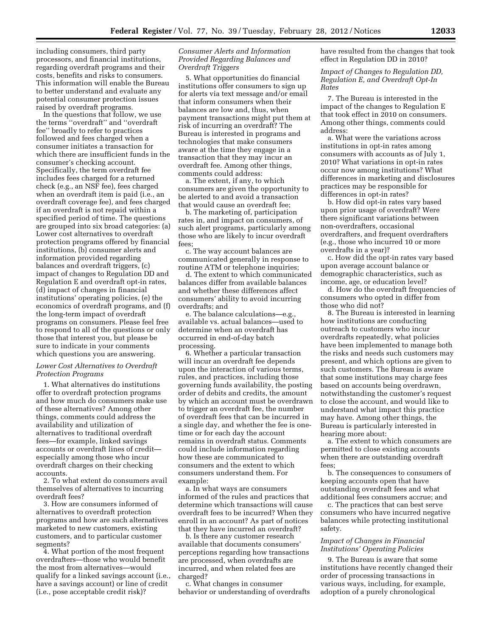including consumers, third party processors, and financial institutions, regarding overdraft programs and their costs, benefits and risks to consumers. This information will enable the Bureau to better understand and evaluate any potential consumer protection issues raised by overdraft programs.

In the questions that follow, we use the terms ''overdraft'' and ''overdraft fee'' broadly to refer to practices followed and fees charged when a consumer initiates a transaction for which there are insufficient funds in the consumer's checking account. Specifically, the term overdraft fee includes fees charged for a returned check (e.g., an NSF fee), fees charged when an overdraft item is paid (i.e., an overdraft coverage fee), and fees charged if an overdraft is not repaid within a specified period of time. The questions are grouped into six broad categories: (a) Lower cost alternatives to overdraft protection programs offered by financial institutions, (b) consumer alerts and information provided regarding balances and overdraft triggers, (c) impact of changes to Regulation DD and Regulation E and overdraft opt-in rates, (d) impact of changes in financial institutions' operating policies, (e) the economics of overdraft programs, and (f) the long-term impact of overdraft programs on consumers. Please feel free to respond to all of the questions or only those that interest you, but please be sure to indicate in your comments which questions you are answering.

### *Lower Cost Alternatives to Overdraft Protection Programs*

1. What alternatives do institutions offer to overdraft protection programs and how much do consumers make use of these alternatives? Among other things, comments could address the availability and utilization of alternatives to traditional overdraft fees—for example, linked savings accounts or overdraft lines of credit especially among those who incur overdraft charges on their checking accounts.

2. To what extent do consumers avail themselves of alternatives to incurring overdraft fees?

3. How are consumers informed of alternatives to overdraft protection programs and how are such alternatives marketed to new customers, existing customers, and to particular customer segments?

4. What portion of the most frequent overdrafters—those who would benefit the most from alternatives—would qualify for a linked savings account (i.e., have a savings account) or line of credit (i.e., pose acceptable credit risk)?

# *Consumer Alerts and Information Provided Regarding Balances and Overdraft Triggers*

5. What opportunities do financial institutions offer consumers to sign up for alerts via text message and/or email that inform consumers when their balances are low and, thus, when payment transactions might put them at risk of incurring an overdraft? The Bureau is interested in programs and technologies that make consumers aware at the time they engage in a transaction that they may incur an overdraft fee. Among other things, comments could address:

a. The extent, if any, to which consumers are given the opportunity to be alerted to and avoid a transaction that would cause an overdraft fee;

b. The marketing of, participation rates in, and impact on consumers, of such alert programs, particularly among those who are likely to incur overdraft fees;

c. The way account balances are communicated generally in response to routine ATM or telephone inquiries;

d. The extent to which communicated balances differ from available balances and whether these differences affect consumers' ability to avoid incurring overdrafts; and

e. The balance calculations—e.g., available vs. actual balances—used to determine when an overdraft has occurred in end-of-day batch processing.

6. Whether a particular transaction will incur an overdraft fee depends upon the interaction of various terms, rules, and practices, including those governing funds availability, the posting order of debits and credits, the amount by which an account must be overdrawn to trigger an overdraft fee, the number of overdraft fees that can be incurred in a single day, and whether the fee is onetime or for each day the account remains in overdraft status. Comments could include information regarding how these are communicated to consumers and the extent to which consumers understand them. For example:

a. In what ways are consumers informed of the rules and practices that determine which transactions will cause overdraft fees to be incurred? When they enroll in an account? As part of notices that they have incurred an overdraft?

b. Is there any customer research available that documents consumers' perceptions regarding how transactions are processed, when overdrafts are incurred, and when related fees are charged?

c. What changes in consumer behavior or understanding of overdrafts have resulted from the changes that took effect in Regulation DD in 2010?

*Impact of Changes to Regulation DD, Regulation E, and Overdraft Opt-In Rates* 

7. The Bureau is interested in the impact of the changes to Regulation E that took effect in 2010 on consumers. Among other things, comments could address:

a. What were the variations across institutions in opt-in rates among consumers with accounts as of July 1, 2010? What variations in opt-in rates occur now among institutions? What differences in marketing and disclosures practices may be responsible for differences in opt-in rates?

b. How did opt-in rates vary based upon prior usage of overdraft? Were there significant variations between non-overdrafters, occasional overdrafters, and frequent overdrafters (e.g., those who incurred 10 or more overdrafts in a year)?

c. How did the opt-in rates vary based upon average account balance or demographic characteristics, such as income, age, or education level?

d. How do the overdraft frequencies of consumers who opted in differ from those who did not?

8. The Bureau is interested in learning how institutions are conducting outreach to customers who incur overdrafts repeatedly, what policies have been implemented to manage both the risks and needs such customers may present, and which options are given to such customers. The Bureau is aware that some institutions may charge fees based on accounts being overdrawn, notwithstanding the customer's request to close the account, and would like to understand what impact this practice may have. Among other things, the Bureau is particularly interested in hearing more about:

a. The extent to which consumers are permitted to close existing accounts when there are outstanding overdraft fees;

b. The consequences to consumers of keeping accounts open that have outstanding overdraft fees and what additional fees consumers accrue; and

c. The practices that can best serve consumers who have incurred negative balances while protecting institutional safety.

#### *Impact of Changes in Financial Institutions' Operating Policies*

9. The Bureau is aware that some institutions have recently changed their order of processing transactions in various ways, including, for example, adoption of a purely chronological